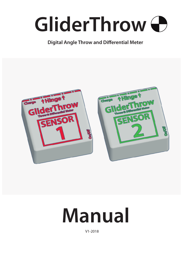

#### **Digital Angle Throw and Differential Meter**



# **Manual**

V1-2018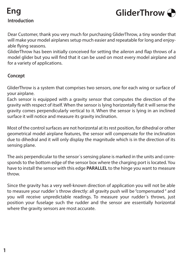### **Introduction Eng**



Dear Customer, thank you very much for purchasing GliderThrow, a tiny wonder that will make your model airplanes setup much easier and repeatable for long and enjoyable flying seasons.

GliderThrow has been initially conceived for setting the aileron and flap throws of a model glider but you will find that it can be used on most every model airplane and for a variety of applications.

#### **Concept**

GliderThrow is a system that comprises two sensors, one for each wing or surface of your airplane.

Each sensor is equipped with a gravity sensor that computes the direction of the gravity with respect of itself. When the sensor is lying horizontally flat it will sense the gravity comes perpendicularly vertical to it. When the sensor is lying in an inclined surface it will notice and measure its gravity inclination.

Most of the control surfaces are not horizontal at its rest position, for dihedral or other geometrical model airplane features, the sensor will compensate for the inclination due to dihedral and it will only display the magnitude which is in the direction of its sensing plane.

The axis perpendicular to the sensor´s sensing plane is marked in the units and corresponds to the bottom edge of the sensor box where the charging port is located. You have to install the sensor with this edge **PARALLEL** to the hinge you want to measure throw.

Since the gravity has a very well-known direction of application you will not be able to measure your rudder´s throw directly: all gravity push will be "compensated " and you will receive unpredictable readings. To measure your rudder´s throws, just position your fuselage such the rudder and the sensor are essentially horizontal where the gravity sensors are most accurate.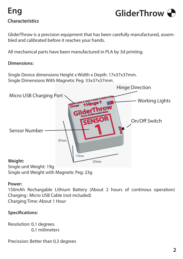## **Characteristics Eng**



GliderThrow is a precision equipment that has been carefully manufactured, assembled and calibrated before it reaches your hands.

All mechanical parts have been manufactured in PLA by 3d printing.

#### **Dimensions:**

Single Device dimensions Height x Width x Depth: 17x37x37mm. Single Dimensions With Magnetic Peg: 33x37x37mm.



#### **Power:**

150mAh Rechargable Lithium Battery (About 2 hours of continous operation) Charging : Micro USB Cable (not included) Charging Time: About 1 Hour

#### **Specifications:**

Resolution: 0,1 degrees. 0,1 milimeters

Precission: Better than 0,3 degrees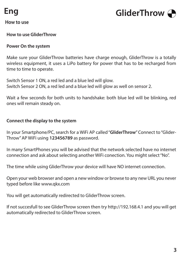

#### **How to use**



#### **How to use GliderThrow**

#### **Power On the system**

Make sure your GliderThrow batteries have charge enough, GliderThrow is a totally wireless equipment, it uses a LiPo battery for power that has to be recharged from time to time to operate.

Switch Sensor 1 ON, a red led and a blue led will glow. Switch Sensor 2 ON, a red led and a blue led will glow as well on sensor 2.

Wait a few seconds for both units to handshake: both blue led will be blinking, red ones will remain steady on.

#### **Connect the display to the system**

In your Smartphone/PC, search for a WiFi AP called "**GliderThrow**" Connect to "Glider-Throw" AP WiFi using **123456789** as password.

In many SmartPhones you will be advised that the network selected have no internet connection and ask about selecting another WiFi conection. You might select "No".

The time while using GliderThrow your device will have NO internet connection.

Open your web browser and open a new window or browse to any new URL you never typed before like www.qkx.com

You will get automatically redirected to GliderThrow screen.

If not succesfull to see GliderThrow screen then try http://192.168.4.1 and you will get automatically redirected to GliderThrow screen.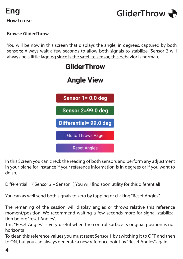



#### **Browse GliderThrow**

You will be now in this screen that displays the angle, in degrees, captured by both sensors; Always wait a few seconds to allow both signals to stabilize (Sensor 2 will always be a little lagging since is the satellite sensor, this behavior is normal).



In this Screen you can check the reading of both sensors and perform any adjustment in your plane for instance if your reference information is in degrees or if you want to do so.

Differential = (Sensor 2 – Sensor 1) You will find soon utility for this diferential!

You can as well send both signals to zero by tapping or clicking "Reset Angles".

The remaning of the session will display angles or throws relative this reference moment/position. We recommend waiting a few seconds more for signal stabilization before "reset Angles".

This "Reset Angles" is very useful when the control surface s original position is not horizontal.

To clean this reference values you must reset Sensor 1 by switching it to OFF and then to ON, but you can always generate a new reference point by "Reset Angles" again.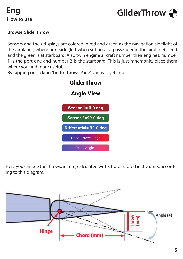



#### **Browse GliderThrow**

Sensors and their displays are colored in red and green as the navigation sidelight of the airplanes, where port side (left when sitting as a passenger in the airplane) is red and the green is at starboard. Also twin engine aircraft number their engines, number 1 is the port one and number 2 is the starboard. This is just mnemonic, place them where you find more useful.

By tapping or clicking "Go to Throws Page" you will get into:



Here you can see the throws, in mm, calculated with Chords stored in the units, according to this diagram.

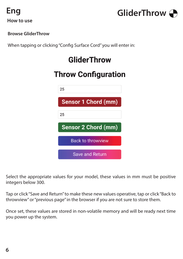



#### **Browse GliderThrow**

When tapping or clicking "Config Surface Cord" you will enter in:

## **GliderThrow**

## **Throw Configuration**



Select the appropriate values for your model, these values in mm must be positive integers below 300.

Tap or click "Save and Return" to make these new values operative, tap or click "Back to throwview" or "previous page" in the browser if you are not sure to store them.

Once set, these values are stored in non-volatile memory and will be ready next time you power up the system.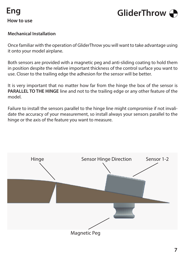



#### **Mechanical Installation**

Once familiar with the operation of GliderThrow you will want to take advantage using it onto your model airplane.

Both sensors are provided with a magnetic peg and anti-sliding coating to hold them in position despite the relative important thickness of the control surface you want to use. Closer to the trailing edge the adhesion for the sensor will be better.

It is very important that no matter how far from the hinge the box of the sensor is **PARALLEL TO THE HINGE** line and not to the trailing edge or any other feature of the model.

Failure to install the sensors parallel to the hinge line might compromise if not invalidate the accuracy of your measurement, so install always your sensors parallel to the hinge or the axis of the feature you want to measure.

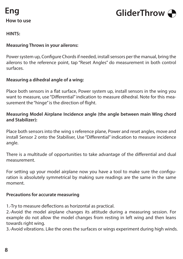

**How to use**



**HINTS:**

#### **Measuring Throws in your ailerons:**

Power system up, Configure Chords if needed, install sensors per the manual, bring the ailerons to the reference point, tap "Reset Angles" do measurement in both control surfaces.

#### **Measuring a dihedral angle of a wing:**

Place both sensors in a flat surface, Power system up, install sensors in the wing you want to measure, use "Differential" indication to measure dihedral. Note for this measurement the "hinge" is the direction of flight.

#### **Measuring Model Airplane Incidence angle (the angle between main Wing chord and Stabilizer):**

Place both sensors into the wing s reference plane, Power and reset angles, move and install Sensor 2 onto the Stabiliser, Use "Differential" indication to measure incidence angle.

There is a multitude of opportunities to take advantage of the differential and dual measurement.

For setting up your model airplane now you have a tool to make sure the configuration is absolutely symmetrical by making sure readings are the same in the same moment.

#### **Precautions for accurate measuring**

1.-Try to measure deflections as horizontal as practical.

2.-Avoid the model airplane changes its attitude during a measuring session. For example do not allow the model changes from resting in left wing and then leans towards right wing.

3.-Avoid vibrations. Like the ones the surfaces or wings experiment during high winds.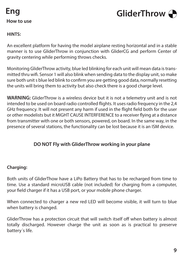



#### **HINTS:**

An excellent platform for having the model airplane resting horizontal and in a stable manner is to use GliderThrow in conjunction with GliderCG and perform Center of gravity centering while performing throws checks.

Monitoring GliderThrow activity, blue led blinking for each unit will mean data is transmitted thru wifi. Sensor 1 will also blink when sending data to the display unit, so make sure both unit s blue led blink to confirm you are getting good data, normally resetting the units will bring them to activity but also check there is a good charge level.

**WARNING:** GliderThrow is a wireless device but it is not a telemetry unit and is not intended to be used on board radio controlled flights. It uses radio frequency in the 2,4 GHz frequency. It will not present any harm if used in the flight field both for the user or other modelists but it MIGHT CAUSE INTERFERENCE to a receiver flying at a distance from transmitter with one or both sensors, powered, on board. In the same way, in the presence of several stations, the functionality can be lost because it is an ISM device.

#### **DO NOT Fly with GliderThrow working in your plane**

#### **Charging:**

Both units of GliderThow have a LiPo Battery that has to be recharged from time to time. Use a standard microUSB cable (not included) for charging from a computer, your field charger if it has a USB port, or your mobile phone charger.

When connected to charger a new red LED will become visible, it will turn to blue when battery is changed.

GliderThrow has a protection circuit that will switch itself off when battery is almost totally discharged. However charge the unit as soon as is practical to preserve battery´s life.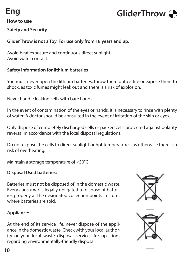# **Eng**



#### **How to use**

#### **Safety and Security**

#### **GliderThrow is not a Toy. For use only from 18 years and up.**

Avoid heat exposure and continuous direct sunlight. Avoid water contact.

#### **Safety information for lithium batteries**

You must never open the lithium batteries, throw them onto a fire or expose them to shock, as toxic fumes might leak out and there is a risk of explosion.

Never handle leaking cells with bare hands.

In the event of contamination of the eyes or hands, it is necessary to rinse with plenty of water. A doctor should be consulted in the event of irritation of the skin or eyes.

Only dispose of completely discharged cells or packed cells protected against polarity reversal in accordance with the local disposal regulations.

Do not expose the cells to direct sunlight or hot temperatures, as otherwise there is a risk of overheating.

Maintain a storage temperature of <30°C.

#### **Disposal Used batteries:**

Batteries must not be disposed of in the domestic waste. Every consumer is legally obligated to dispose of batteries properly at the designated collection points in stores where batteries are sold.



#### **Appliance:**

At the end of its service life, never dispose of the appliance in the domestic waste. Check with your local authority or your local waste disposal services for op- tions regarding environmentally-friendly disposal.